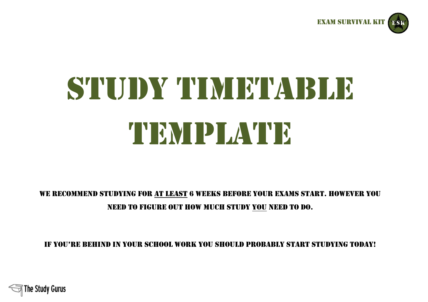

# STUDY TIMETABLE TEMPLATE

# We recommend studying for at least 6 weeks before your exams start. However you need to figure out how much study you need to do.

If you're behind in your school work you should probably start studying today!

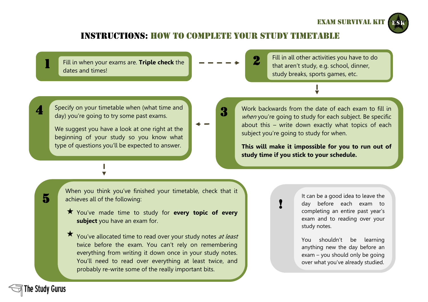### Exam survival kit

## INSTRUCTIONS: HOW TO COMPLETE YOUR STUDY TIM

Fill in when your exams are. **Triple check** the dates and times!

2

3

Fill in all other activities you have to do that aren't study, e.g. school, dinner, study breaks, sports games, etc.

Specify on your timetable when (what time and day) you're going to try some past exams.

We suggest you have a look at one right at the beginning of your study so you know what type of questions you'll be expected to answer.

Work backwards from the date of each exam to fill in when you're going to study for each subject. Be specific about this – write down exactly what topics of each subject you're going to study for when.

**This will make it impossible for you to run out of study time if you stick to your schedule.**

!

5

4

1

When you think you've finished your timetable, check that it achieves all of the following:

- You've made time to study for **every topic of every subject** you have an exam for.
	- You've allocated time to read over your study notes at least twice before the exam. You can't rely on remembering everything from writing it down once in your study notes. You'll need to read over everything at least twice, and probably re-write some of the really important bits.

It can be a good idea to leave the day before each exam to completing an entire past year's exam and to reading over your study notes.

You shouldn't be learning anything new the day before an exam – you should only be going over what you've already studied.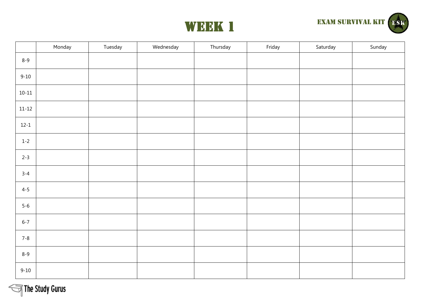



|           | Monday | Tuesday | Wednesday | Thursday | Friday | Saturday | Sunday |
|-----------|--------|---------|-----------|----------|--------|----------|--------|
| $8 - 9$   |        |         |           |          |        |          |        |
| $9 - 10$  |        |         |           |          |        |          |        |
| $10 - 11$ |        |         |           |          |        |          |        |
| $11 - 12$ |        |         |           |          |        |          |        |
| $12 - 1$  |        |         |           |          |        |          |        |
| $1 - 2$   |        |         |           |          |        |          |        |
| $2 - 3$   |        |         |           |          |        |          |        |
| $3 - 4$   |        |         |           |          |        |          |        |
| $4 - 5$   |        |         |           |          |        |          |        |
| $5-6$     |        |         |           |          |        |          |        |
| $6 - 7$   |        |         |           |          |        |          |        |
| $7 - 8$   |        |         |           |          |        |          |        |
| $8 - 9$   |        |         |           |          |        |          |        |
| $9 - 10$  |        |         |           |          |        |          |        |

The Study Gurus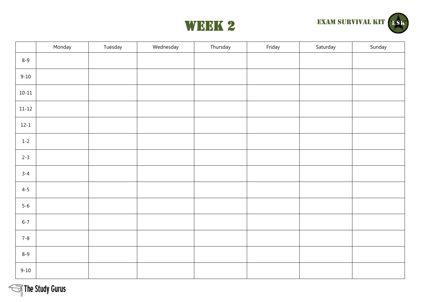



|           | Monday | Tuesday | Wednesday | Thursday | Friday | Saturday | Sunday |
|-----------|--------|---------|-----------|----------|--------|----------|--------|
| $8 - 9$   |        |         |           |          |        |          |        |
| $9 - 10$  |        |         |           |          |        |          |        |
| $10 - 11$ |        |         |           |          |        |          |        |
| $11 - 12$ |        |         |           |          |        |          |        |
| $12 - 1$  |        |         |           |          |        |          |        |
| $1 - 2$   |        |         |           |          |        |          |        |
| $2 - 3$   |        |         |           |          |        |          |        |
| $3 - 4$   |        |         |           |          |        |          |        |
| $4 - 5$   |        |         |           |          |        |          |        |
| $5-6$     |        |         |           |          |        |          |        |
| $6 - 7$   |        |         |           |          |        |          |        |
| $7 - 8$   |        |         |           |          |        |          |        |
| $8 - 9$   |        |         |           |          |        |          |        |
| $9 - 10$  |        |         |           |          |        |          |        |

The Study Gurus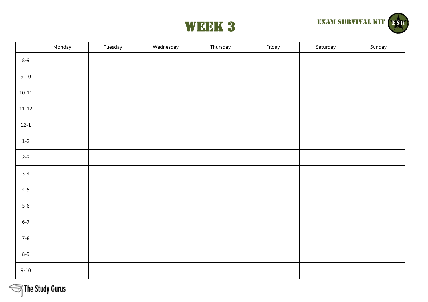



|           | Monday | Tuesday | Wednesday | Thursday | Friday | Saturday | Sunday |
|-----------|--------|---------|-----------|----------|--------|----------|--------|
| $8 - 9$   |        |         |           |          |        |          |        |
| $9 - 10$  |        |         |           |          |        |          |        |
| $10 - 11$ |        |         |           |          |        |          |        |
| $11 - 12$ |        |         |           |          |        |          |        |
| $12 - 1$  |        |         |           |          |        |          |        |
| $1 - 2$   |        |         |           |          |        |          |        |
| $2 - 3$   |        |         |           |          |        |          |        |
| $3 - 4$   |        |         |           |          |        |          |        |
| $4 - 5$   |        |         |           |          |        |          |        |
| $5-6$     |        |         |           |          |        |          |        |
| $6 - 7$   |        |         |           |          |        |          |        |
| $7 - 8$   |        |         |           |          |        |          |        |
| $8 - 9$   |        |         |           |          |        |          |        |
| $9 - 10$  |        |         |           |          |        |          |        |

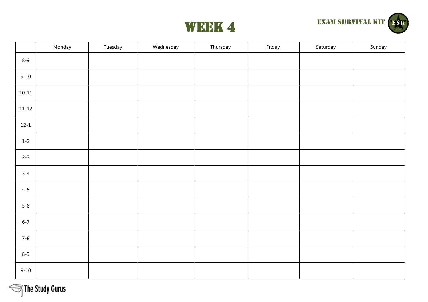



|           | Monday | Tuesday | Wednesday | Thursday | Friday | Saturday | Sunday |
|-----------|--------|---------|-----------|----------|--------|----------|--------|
| $8 - 9$   |        |         |           |          |        |          |        |
| $9 - 10$  |        |         |           |          |        |          |        |
| $10 - 11$ |        |         |           |          |        |          |        |
| $11 - 12$ |        |         |           |          |        |          |        |
| $12 - 1$  |        |         |           |          |        |          |        |
| $1 - 2$   |        |         |           |          |        |          |        |
| $2 - 3$   |        |         |           |          |        |          |        |
| $3 - 4$   |        |         |           |          |        |          |        |
| $4 - 5$   |        |         |           |          |        |          |        |
| $5-6$     |        |         |           |          |        |          |        |
| $6 - 7$   |        |         |           |          |        |          |        |
| $7 - 8$   |        |         |           |          |        |          |        |
| $8 - 9$   |        |         |           |          |        |          |        |
| $9 - 10$  |        |         |           |          |        |          |        |

The Study Gurus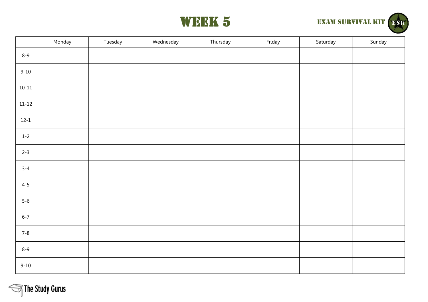



|           | Monday | Tuesday | Wednesday | Thursday | Friday | Saturday | Sunday |
|-----------|--------|---------|-----------|----------|--------|----------|--------|
| $8 - 9$   |        |         |           |          |        |          |        |
| $9 - 10$  |        |         |           |          |        |          |        |
| $10 - 11$ |        |         |           |          |        |          |        |
| $11 - 12$ |        |         |           |          |        |          |        |
| $12 - 1$  |        |         |           |          |        |          |        |
| $1 - 2$   |        |         |           |          |        |          |        |
| $2 - 3$   |        |         |           |          |        |          |        |
| $3 - 4$   |        |         |           |          |        |          |        |
| $4 - 5$   |        |         |           |          |        |          |        |
| $5-6$     |        |         |           |          |        |          |        |
| $6 - 7$   |        |         |           |          |        |          |        |
| $7 - 8$   |        |         |           |          |        |          |        |
| $8 - 9$   |        |         |           |          |        |          |        |
| $9 - 10$  |        |         |           |          |        |          |        |